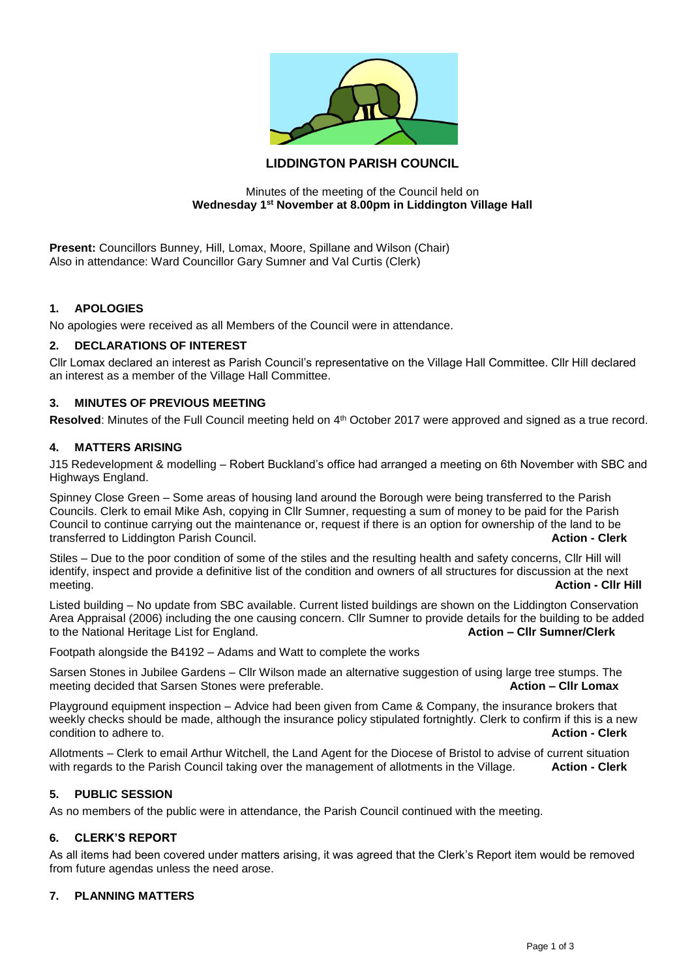

# **LIDDINGTON PARISH COUNCIL**

#### Minutes of the meeting of the Council held on **Wednesday 1st November at 8.00pm in Liddington Village Hall**

**Present:** Councillors Bunney, Hill, Lomax, Moore, Spillane and Wilson (Chair) Also in attendance: Ward Councillor Gary Sumner and Val Curtis (Clerk)

## **1. APOLOGIES**

No apologies were received as all Members of the Council were in attendance.

## **2. DECLARATIONS OF INTEREST**

Cllr Lomax declared an interest as Parish Council's representative on the Village Hall Committee. Cllr Hill declared an interest as a member of the Village Hall Committee.

### **3. MINUTES OF PREVIOUS MEETING**

Resolved: Minutes of the Full Council meeting held on 4<sup>th</sup> October 2017 were approved and signed as a true record.

#### **4. MATTERS ARISING**

J15 Redevelopment & modelling – Robert Buckland's office had arranged a meeting on 6th November with SBC and Highways England.

Spinney Close Green – Some areas of housing land around the Borough were being transferred to the Parish Councils. Clerk to email Mike Ash, copying in Cllr Sumner, requesting a sum of money to be paid for the Parish Council to continue carrying out the maintenance or, request if there is an option for ownership of the land to be transferred to Liddington Parish Council. **Action - Clerk**

Stiles – Due to the poor condition of some of the stiles and the resulting health and safety concerns, Cllr Hill will identify, inspect and provide a definitive list of the condition and owners of all structures for discussion at the next meeting. **Action - Cllr Hill**

Listed building – No update from SBC available. Current listed buildings are shown on the Liddington Conservation Area Appraisal (2006) including the one causing concern. Cllr Sumner to provide details for the building to be added<br>to the National Heritage List for England. to the National Heritage List for England.

Footpath alongside the B4192 – Adams and Watt to complete the works

Sarsen Stones in Jubilee Gardens – Cllr Wilson made an alternative suggestion of using large tree stumps. The meeting decided that Sarsen Stones were preferable. **Action – Cllr Lomax Action – Cllr Lomax** 

Playground equipment inspection – Advice had been given from Came & Company, the insurance brokers that weekly checks should be made, although the insurance policy stipulated fortnightly. Clerk to confirm if this is a new condition to adhere to. **Action - Clerk**

Allotments – Clerk to email Arthur Witchell, the Land Agent for the Diocese of Bristol to advise of current situation with regards to the Parish Council taking over the management of allotments in the Village. **Action - Clerk**

### **5. PUBLIC SESSION**

As no members of the public were in attendance, the Parish Council continued with the meeting.

## **6. CLERK'S REPORT**

As all items had been covered under matters arising, it was agreed that the Clerk's Report item would be removed from future agendas unless the need arose.

### **7. PLANNING MATTERS**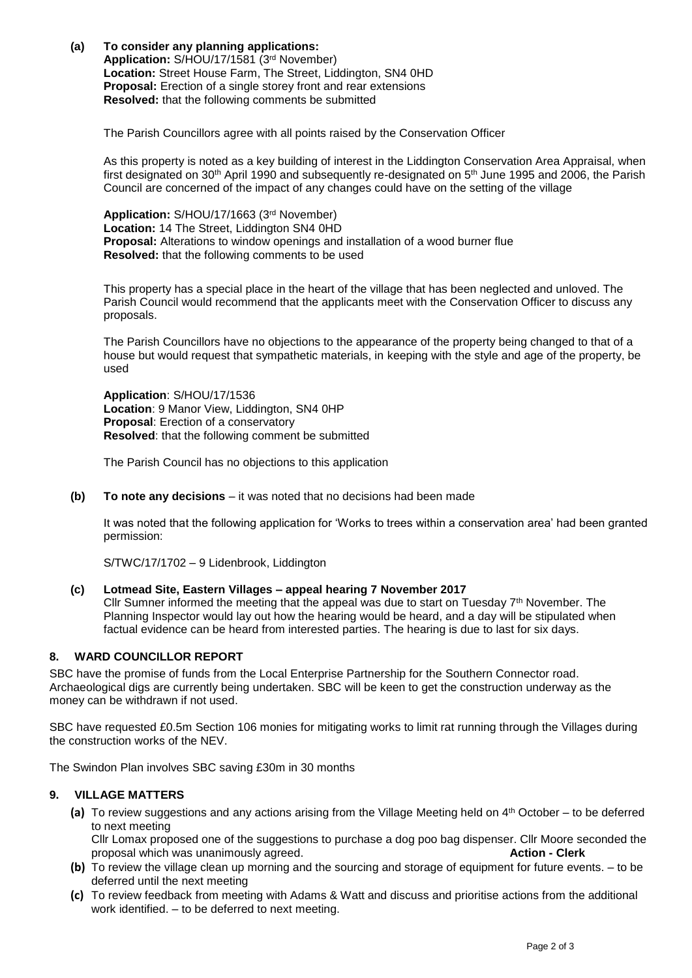**(a) To consider any planning applications:**

**Application:** S/HOU/17/1581 (3rd November) **Location:** Street House Farm, The Street, Liddington, SN4 0HD **Proposal:** Erection of a single storey front and rear extensions **Resolved:** that the following comments be submitted

The Parish Councillors agree with all points raised by the Conservation Officer

As this property is noted as a key building of interest in the Liddington Conservation Area Appraisal, when first designated on 30<sup>th</sup> April 1990 and subsequently re-designated on 5<sup>th</sup> June 1995 and 2006, the Parish Council are concerned of the impact of any changes could have on the setting of the village

**Application:** S/HOU/17/1663 (3rd November) **Location:** 14 The Street, Liddington SN4 0HD **Proposal:** Alterations to window openings and installation of a wood burner flue **Resolved:** that the following comments to be used

This property has a special place in the heart of the village that has been neglected and unloved. The Parish Council would recommend that the applicants meet with the Conservation Officer to discuss any proposals.

The Parish Councillors have no objections to the appearance of the property being changed to that of a house but would request that sympathetic materials, in keeping with the style and age of the property, be used

**Application**: S/HOU/17/1536 **Location**: 9 Manor View, Liddington, SN4 0HP **Proposal**: Erection of a conservatory **Resolved**: that the following comment be submitted

The Parish Council has no objections to this application

**(b) To note any decisions** – it was noted that no decisions had been made

It was noted that the following application for 'Works to trees within a conservation area' had been granted permission:

S/TWC/17/1702 – 9 Lidenbrook, Liddington

#### **(c) Lotmead Site, Eastern Villages – appeal hearing 7 November 2017**

Cllr Sumner informed the meeting that the appeal was due to start on Tuesday  $7<sup>th</sup>$  November. The Planning Inspector would lay out how the hearing would be heard, and a day will be stipulated when factual evidence can be heard from interested parties. The hearing is due to last for six days.

## **8. WARD COUNCILLOR REPORT**

SBC have the promise of funds from the Local Enterprise Partnership for the Southern Connector road. Archaeological digs are currently being undertaken. SBC will be keen to get the construction underway as the money can be withdrawn if not used.

SBC have requested £0.5m Section 106 monies for mitigating works to limit rat running through the Villages during the construction works of the NEV.

The Swindon Plan involves SBC saving £30m in 30 months

## **9. VILLAGE MATTERS**

**(a)** To review suggestions and any actions arising from the Village Meeting held on 4th October – to be deferred to next meeting

Cllr Lomax proposed one of the suggestions to purchase a dog poo bag dispenser. Cllr Moore seconded the proposal which was unanimously agreed. **Action - Clerk**

- **(b)** To review the village clean up morning and the sourcing and storage of equipment for future events. to be deferred until the next meeting
- **(c)** To review feedback from meeting with Adams & Watt and discuss and prioritise actions from the additional work identified. – to be deferred to next meeting.